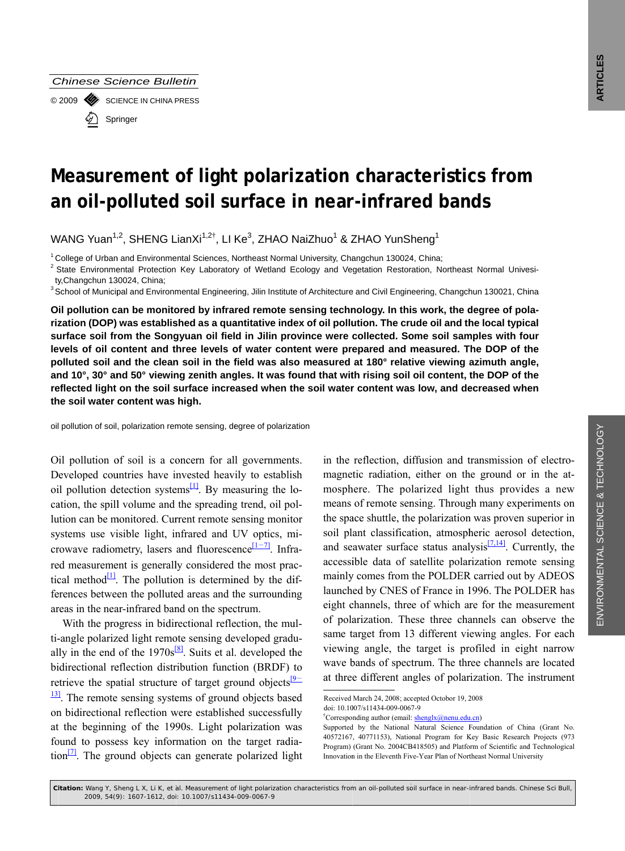

# Measurement of light polarization characteristics from an oil-polluted soil surface in near-infrared bands

WANG Yuan<sup>1,2</sup>, SHENG LianXi<sup>1,2†</sup>, LI Ke<sup>3</sup>, ZHAO NaiZhuo<sup>1</sup> & ZHAO YunSheng<sup>1</sup>

<sup>1</sup> College of Urban and Environmental Sciences. Northeast Normal University. Changchun 130024. China:

<sup>2</sup> State Environmental Protection Key Laboratory of Wetland Ecology and Vegetation Restoration, Northeast Normal Univesity, Changchun 130024, China;

<sup>3</sup> School of Municipal and Environmental Engineering, Jilin Institute of Architecture and Civil Engineering, Changchun 130021, China

Oil pollution can be monitored by infrared remote sensing technology. In this work, the degree of polarization (DOP) was established as a quantitative index of oil pollution. The crude oil and the local typical surface soil from the Songyuan oil field in Jilin province were collected. Some soil samples with four levels of oil content and three levels of water content were prepared and measured. The DOP of the polluted soil and the clean soil in the field was also measured at 180° relative viewing azimuth angle, and 10°, 30° and 50° viewing zenith angles. It was found that with rising soil oil content, the DOP of the reflected light on the soil surface increased when the soil water content was low, and decreased when the soil water content was high.

oil pollution of soil, polarization remote sensing, degree of polarization

Oil pollution of soil is a concern for all governments. Developed countries have invested heavily to establish oil pollution detection systems $\frac{[1]}{[1]}$ . By measuring the location, the spill volume and the spreading trend, oil pollution can be monitored. Current remote sensing monitor systems use visible light, infrared and UV optics, microwave radiometry, lasers and fluorescence  $[1-7]$ . Infrared measurement is generally considered the most practical method $\frac{1}{2}$ . The pollution is determined by the differences between the polluted areas and the surrounding areas in the near-infrared band on the spectrum.

With the progress in bidirectional reflection, the multi-angle polarized light remote sensing developed gradually in the end of the  $1970s^{8}$ . Suits et al. developed the bidirectional reflection distribution function (BRDF) to retrieve the spatial structure of target ground objects  $\frac{19}{2}$  $\frac{13}{13}$ . The remote sensing systems of ground objects based on bidirectional reflection were established successfully at the beginning of the 1990s. Light polarization was found to possess key information on the target radiation<sup>[2]</sup>. The ground objects can generate polarized light in the reflection, diffusion and transmission of electromagnetic radiation, either on the ground or in the atmosphere. The polarized light thus provides a new means of remote sensing. Through many experiments on the space shuttle, the polarization was proven superior in soil plant classification, atmospheric aerosol detection, and seawater surface status analysis<sup>[7,14]</sup>. Currently, the accessible data of satellite polarization remote sensing mainly comes from the POLDER carried out by ADEOS launched by CNES of France in 1996. The POLDER has eight channels, three of which are for the measurement of polarization. These three channels can observe the same target from 13 different viewing angles. For each viewing angle, the target is profiled in eight narrow wave bands of spectrum. The three channels are located at three different angles of polarization. The instrument

Received March 24, 2008; accepted Octobor 19, 2008

doi: 10.1007/s11434-009-0067-9

<sup>&</sup>lt;sup>†</sup>Corresponding author (email: shenglx@nenu.edu.cn)

Supported by the National Natural Science Foundation of China (Grant No. 40572167, 40771153), National Program for Key Basic Research Projects (973 Program) (Grant No. 2004CB418505) and Platform of Scientific and Technological Innovation in the Eleventh Five-Year Plan of Northeast Normal University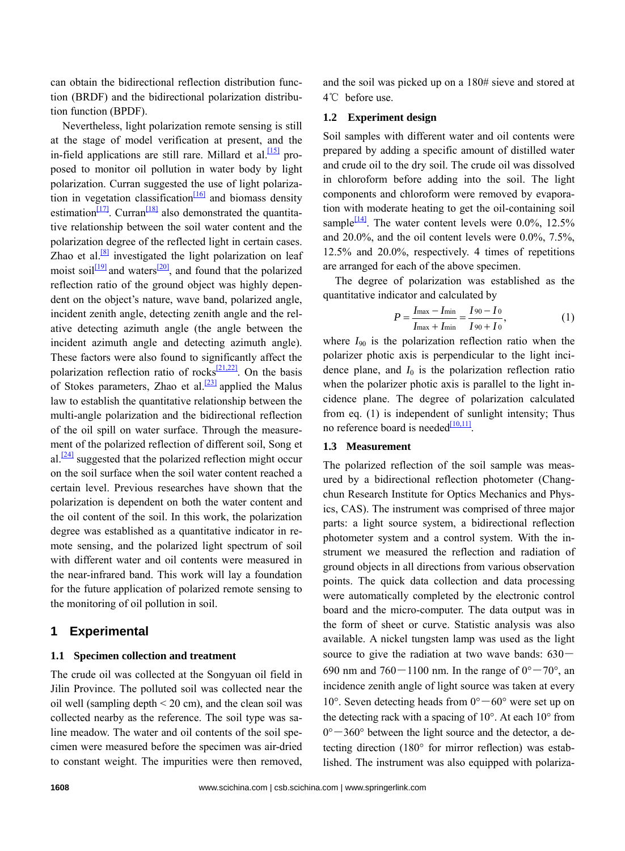can obtain the bidirectional reflection distribution function (BRDF) and the bidirectional polarization distribution function (BPDF).

Nevertheless, light polarization remote sensing is still at the stage of model verification at present, and the in-field applications are still rare. Millard et al.  $[15]$  proposed to monitor oil pollution in water body by light polarization. Curran suggested the use of light polarization in vegetation classification<sup>[16]</sup> and biomass density estimation $\frac{17}{7}$ . Curran<sup>[\[18\]](#page-5-0)</sup> also demonstrated the quantitative relationship between the soil water content and the polarization degree of the reflected light in certain cases. Zhao et al.<sup>[8]</sup> investigated the light polarization on leaf moist soil $\frac{[19]}{2}$  and waters<sup>[20]</sup>, and found that the polarized reflection ratio of the ground object was highly dependent on the object's nature, wave band, polarized angle, incident zenith angle, detecting zenith angle and the relative detecting azimuth angle (the angle between the incident azimuth angle and detecting azimuth angle). These factors were also found to significantly affect the polarization reflection ratio of rocks<sup>[\[21,22\]](#page-5-0)</sup>. On the basis of Stokes parameters, Zhao et al. $\frac{[23]}{2}$  $\frac{[23]}{2}$  $\frac{[23]}{2}$  applied the Malus law to establish the quantitative relationship between the multi-angle polarization and the bidirectional reflection of the oil spill on water surface. Through the measurement of the polarized reflection of different soil, Song et al. $\frac{[24]}{[24]}$  suggested that the polarized reflection might occur on the soil surface when the soil water content reached a certain level. Previous researches have shown that the polarization is dependent on both the water content and the oil content of the soil. In this work, the polarization degree was established as a quantitative indicator in remote sensing, and the polarized light spectrum of soil with different water and oil contents were measured in the near-infrared band. This work will lay a foundation for the future application of polarized remote sensing to the monitoring of oil pollution in soil.

## **1 Experimental**

#### **1.1 Specimen collection and treatment**

The crude oil was collected at the Songyuan oil field in Jilin Province. The polluted soil was collected near the oil well (sampling depth  $\leq$  20 cm), and the clean soil was collected nearby as the reference. The soil type was saline meadow. The water and oil contents of the soil specimen were measured before the specimen was air-dried to constant weight. The impurities were then removed, and the soil was picked up on a 180# sieve and stored at 4℃ before use.

## **1.2 Experiment design**

Soil samples with different water and oil contents were prepared by adding a specific amount of distilled water and crude oil to the dry soil. The crude oil was dissolved in chloroform before adding into the soil. The light components and chloroform were removed by evaporation with moderate heating to get the oil-containing soil sample $\frac{[14]}{]}$  $\frac{[14]}{]}$  $\frac{[14]}{]}$ . The water content levels were 0.0%, 12.5% and 20.0%, and the oil content levels were 0.0%, 7.5%, 12.5% and 20.0%, respectively. 4 times of repetitions are arranged for each of the above specimen.

The degree of polarization was established as the quantitative indicator and calculated by

$$
P = \frac{I_{\text{max}} - I_{\text{min}}}{I_{\text{max}} + I_{\text{min}}} = \frac{I_{90} - I_{0}}{I_{90} + I_{0}},
$$
(1)

where  $I_{90}$  is the polarization reflection ratio when the polarizer photic axis is perpendicular to the light incidence plane, and  $I_0$  is the polarization reflection ratio when the polarizer photic axis is parallel to the light incidence plane. The degree of polarization calculated from eq. (1) is independent of sunlight intensity; Thus no reference board is needed $\frac{[10,11]}{[10,11]}$ .

#### **1.3 Measurement**

The polarized reflection of the soil sample was measured by a bidirectional reflection photometer (Changchun Research Institute for Optics Mechanics and Physics, CAS). The instrument was comprised of three major parts: a light source system, a bidirectional reflection photometer system and a control system. With the instrument we measured the reflection and radiation of ground objects in all directions from various observation points. The quick data collection and data processing were automatically completed by the electronic control board and the micro-computer. The data output was in the form of sheet or curve. Statistic analysis was also available. A nickel tungsten lamp was used as the light source to give the radiation at two wave bands: 630― 690 nm and 760 – 1100 nm. In the range of  $0^{\circ}$  – 70°, and incidence zenith angle of light source was taken at every 10°. Seven detecting heads from  $0^{\circ} - 60^{\circ}$  were set up on the detecting rack with a spacing of 10°. At each 10° from  $0^\circ$  - 360° between the light source and the detector, a detecting direction (180° for mirror reflection) was established. The instrument was also equipped with polariza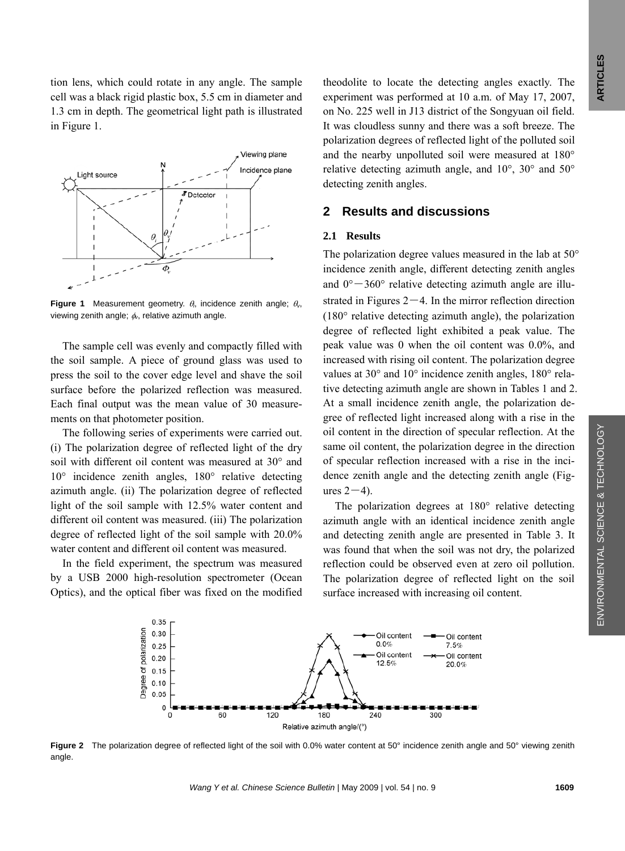tion lens, which could rotate in any angle. The sample cell was a black rigid plastic box, 5.5 cm in diameter and 1.3 cm in depth. The geometrical light path is illustrated in Figure 1.



**Figure 1** Measurement geometry. θ*i*, incidence zenith angle; θ*v*, viewing zenith angle; φ*v*, relative azimuth angle.

The sample cell was evenly and compactly filled with the soil sample. A piece of ground glass was used to press the soil to the cover edge level and shave the soil surface before the polarized reflection was measured. Each final output was the mean value of 30 measurements on that photometer position.

The following series of experiments were carried out. (i) The polarization degree of reflected light of the dry soil with different oil content was measured at 30° and 10° incidence zenith angles, 180° relative detecting azimuth angle. (ii) The polarization degree of reflected light of the soil sample with 12.5% water content and different oil content was measured. (iii) The polarization degree of reflected light of the soil sample with 20.0% water content and different oil content was measured.

In the field experiment, the spectrum was measured by a USB 2000 high-resolution spectrometer (Ocean Optics), and the optical fiber was fixed on the modified theodolite to locate the detecting angles exactly. The experiment was performed at 10 a.m. of May 17, 2007, on No. 225 well in J13 district of the Songyuan oil field. It was cloudless sunny and there was a soft breeze. The polarization degrees of reflected light of the polluted soil and the nearby unpolluted soil were measured at 180° relative detecting azimuth angle, and 10°, 30° and 50° detecting zenith angles.

# **2 Results and discussions**

## **2.1 Results**

The polarization degree values measured in the lab at 50° incidence zenith angle, different detecting zenith angles and  $0^{\circ} - 360^{\circ}$  relative detecting azimuth angle are illustrated in Figures  $2-4$ . In the mirror reflection direction (180° relative detecting azimuth angle), the polarization degree of reflected light exhibited a peak value. The peak value was 0 when the oil content was 0.0%, and increased with rising oil content. The polarization degree values at 30° and 10° incidence zenith angles, 180° relative detecting azimuth angle are shown in Tables 1 and 2. At a small incidence zenith angle, the polarization degree of reflected light increased along with a rise in the oil content in the direction of specular reflection. At the same oil content, the polarization degree in the direction of specular reflection increased with a rise in the incidence zenith angle and the detecting zenith angle (Figures  $2-4$ ).

The polarization degrees at 180° relative detecting azimuth angle with an identical incidence zenith angle and detecting zenith angle are presented in Table 3. It was found that when the soil was not dry, the polarized reflection could be observed even at zero oil pollution. The polarization degree of reflected light on the soil surface increased with increasing oil content.



**Figure 2** The polarization degree of reflected light of the soil with 0.0% water content at 50° incidence zenith angle and 50° viewing zenith angle.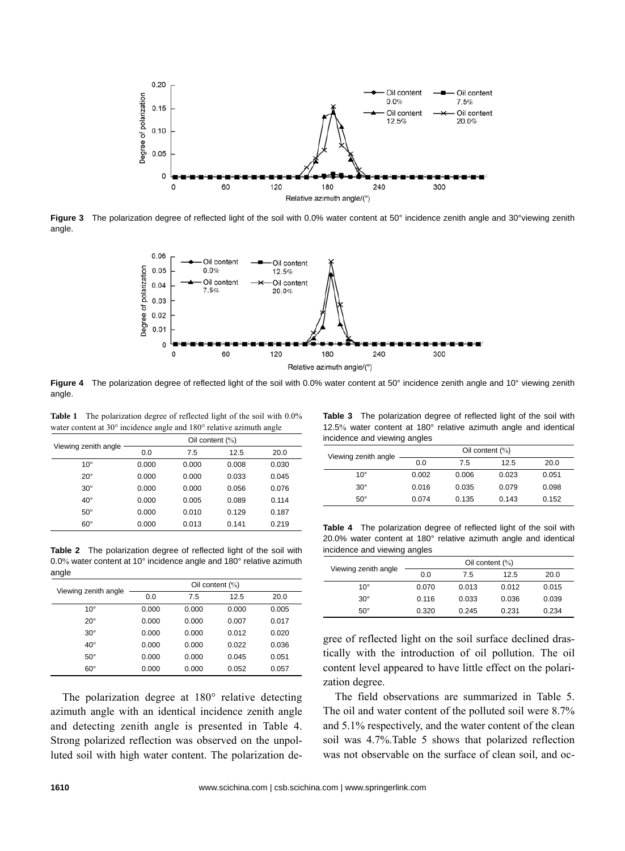

**Figure 3** The polarization degree of reflected light of the soil with 0.0% water content at 50° incidence zenith angle and 30°viewing zenith angle.



**Figure 4** The polarization degree of reflected light of the soil with 0.0% water content at 50° incidence zenith angle and 10° viewing zenith angle.

Table 1 The polarization degree of reflected light of the soil with 0.0% water content at 30° incidence angle and 180° relative azimuth angle

| Viewing zenith angle | Oil content $(\%)$ |       |       |       |
|----------------------|--------------------|-------|-------|-------|
|                      | 0.0                | 7.5   | 12.5  | 20.0  |
| $10^{\circ}$         | 0.000              | 0.000 | 0.008 | 0.030 |
| $20^{\circ}$         | 0.000              | 0.000 | 0.033 | 0.045 |
| $30^\circ$           | 0.000              | 0.000 | 0.056 | 0.076 |
| $40^{\circ}$         | 0.000              | 0.005 | 0.089 | 0.114 |
| $50^\circ$           | 0.000              | 0.010 | 0.129 | 0.187 |
| $60^{\circ}$         | 0.000              | 0.013 | 0.141 | 0.219 |

**Table 2** The polarization degree of reflected light of the soil with 0.0% water content at 10° incidence angle and 180° relative azimuth angle

| Viewing zenith angle | Oil content $(\%)$ |       |       |       |
|----------------------|--------------------|-------|-------|-------|
|                      | 0.0                | 7.5   | 12.5  | 20.0  |
| $10^{\circ}$         | 0.000              | 0.000 | 0.000 | 0.005 |
| $20^{\circ}$         | 0.000              | 0.000 | 0.007 | 0.017 |
| $30^\circ$           | 0.000              | 0.000 | 0.012 | 0.020 |
| $40^{\circ}$         | 0.000              | 0.000 | 0.022 | 0.036 |
| $50^\circ$           | 0.000              | 0.000 | 0.045 | 0.051 |
| $60^\circ$           | 0.000              | 0.000 | 0.052 | 0.057 |

The polarization degree at 180° relative detecting azimuth angle with an identical incidence zenith angle and detecting zenith angle is presented in Table 4. Strong polarized reflection was observed on the unpolluted soil with high water content. The polarization de-

**Table 3** The polarization degree of reflected light of the soil with 12.5% water content at 180° relative azimuth angle and identical incidence and viewing angles

| Viewing zenith angle | Oil content $(\%)$ |       |       |       |
|----------------------|--------------------|-------|-------|-------|
|                      | 0.0                | 7.5   | 12.5  | 20.0  |
| $10^{\circ}$         | 0.002              | 0.006 | 0.023 | 0.051 |
| $30^\circ$           | 0.016              | 0.035 | 0.079 | 0.098 |
| $50^\circ$           | 0.074              | 0.135 | 0.143 | 0.152 |

**Table 4** The polarization degree of reflected light of the soil with 20.0% water content at 180° relative azimuth angle and identical incidence and viewing angles

| Viewing zenith angle | Oil content $(\%)$ |       |       |       |
|----------------------|--------------------|-------|-------|-------|
|                      | 0.0                | 7.5   | 12.5  | 20.0  |
| $10^{\circ}$         | 0.070              | 0.013 | 0.012 | 0.015 |
| $30^\circ$           | 0.116              | 0.033 | 0.036 | 0.039 |
| $50^\circ$           | 0.320              | 0.245 | 0.231 | 0.234 |

gree of reflected light on the soil surface declined drastically with the introduction of oil pollution. The oil content level appeared to have little effect on the polarization degree.

The field observations are summarized in Table 5. The oil and water content of the polluted soil were 8.7% and 5.1% respectively, and the water content of the clean soil was 4.7%.Table 5 shows that polarized reflection was not observable on the surface of clean soil, and oc-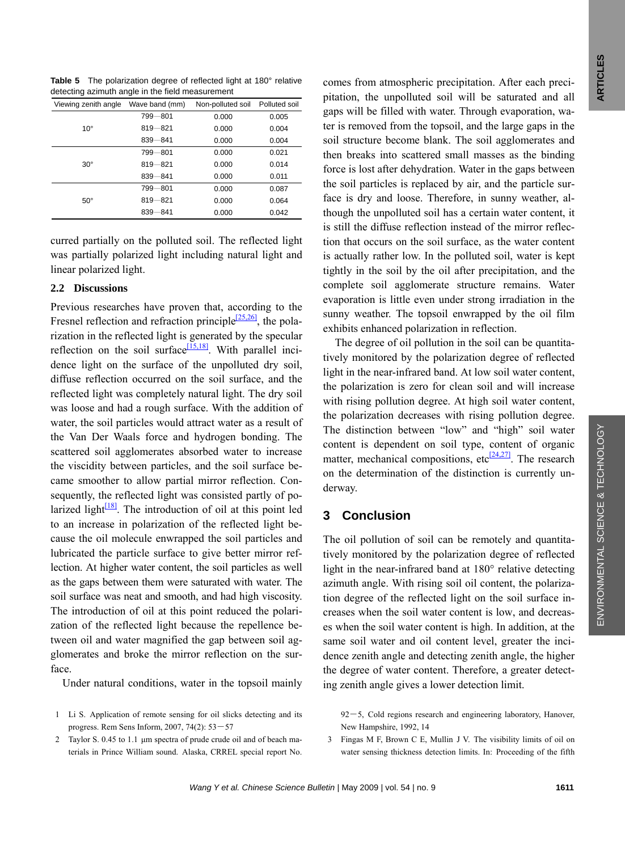<span id="page-4-0"></span>**Table 5** The polarization degree of reflected light at 180° relative detecting azimuth angle in the field measurement

| Viewing zenith angle | Wave band (mm) | Non-polluted soil | Polluted soil |
|----------------------|----------------|-------------------|---------------|
| $10^{\circ}$         | 799-801        | 0.000             | 0.005         |
|                      | $819 - 821$    | 0.000             | 0.004         |
|                      | $839 - 841$    | 0.000             | 0.004         |
| $30^\circ$           | 799-801        | 0.000             | 0.021         |
|                      | $819 - 821$    | 0.000             | 0.014         |
|                      | $839 - 841$    | 0.000             | 0.011         |
| $50^\circ$           | 799-801        | 0.000             | 0.087         |
|                      | $819 - 821$    | 0.000             | 0.064         |
|                      | $839 - 841$    | 0.000             | 0.042         |

curred partially on the polluted soil. The reflected light was partially polarized light including natural light and linear polarized light.

#### **2.2 Discussions**

Previous researches have proven that, according to the Fresnel reflection and refraction principle<sup>[25,26]</sup>, the polarization in the reflected light is generated by the specular reflection on the soil surface  $\frac{[15,18]}{[15,18]}$  $\frac{[15,18]}{[15,18]}$  $\frac{[15,18]}{[15,18]}$ . With parallel incidence light on the surface of the unpolluted dry soil, diffuse reflection occurred on the soil surface, and the reflected light was completely natural light. The dry soil was loose and had a rough surface. With the addition of water, the soil particles would attract water as a result of the Van Der Waals force and hydrogen bonding. The scattered soil agglomerates absorbed water to increase the viscidity between particles, and the soil surface became smoother to allow partial mirror reflection. Consequently, the reflected light was consisted partly of polarized light $\frac{18}{8}$ . The introduction of oil at this point led to an increase in polarization of the reflected light because the oil molecule enwrapped the soil particles and lubricated the particle surface to give better mirror reflection. At higher water content, the soil particles as well as the gaps between them were saturated with water. The soil surface was neat and smooth, and had high viscosity. The introduction of oil at this point reduced the polarization of the reflected light because the repellence between oil and water magnified the gap between soil agglomerates and broke the mirror reflection on the surface.

Under natural conditions, water in the topsoil mainly

- 1 Li S. Application of remote sensing for oil slicks detecting and its progress. Rem Sens Inform, 2007, 74(2): 53―57
- 2 Taylor S. 0.45 to 1.1 μm spectra of prude crude oil and of beach materials in Prince William sound. Alaska, CRREL special report No.

comes from atmospheric precipitation. After each precipitation, the unpolluted soil will be saturated and all gaps will be filled with water. Through evaporation, water is removed from the topsoil, and the large gaps in the soil structure become blank. The soil agglomerates and then breaks into scattered small masses as the binding force is lost after dehydration. Water in the gaps between the soil particles is replaced by air, and the particle surface is dry and loose. Therefore, in sunny weather, although the unpolluted soil has a certain water content, it is still the diffuse reflection instead of the mirror reflection that occurs on the soil surface, as the water content is actually rather low. In the polluted soil, water is kept tightly in the soil by the oil after precipitation, and the complete soil agglomerate structure remains. Water evaporation is little even under strong irradiation in the sunny weather. The topsoil enwrapped by the oil film exhibits enhanced polarization in reflection.

The degree of oil pollution in the soil can be quantitatively monitored by the polarization degree of reflected light in the near-infrared band. At low soil water content, the polarization is zero for clean soil and will increase with rising pollution degree. At high soil water content, the polarization decreases with rising pollution degree. The distinction between "low" and "high" soil water content is dependent on soil type, content of organic matter, mechanical compositions, etc $\frac{[24,27]}{[24,27]}$  $\frac{[24,27]}{[24,27]}$  $\frac{[24,27]}{[24,27]}$ . The research on the determination of the distinction is currently underway.

## **3 Conclusion**

The oil pollution of soil can be remotely and quantitatively monitored by the polarization degree of reflected light in the near-infrared band at 180° relative detecting azimuth angle. With rising soil oil content, the polarization degree of the reflected light on the soil surface increases when the soil water content is low, and decreases when the soil water content is high. In addition, at the same soil water and oil content level, greater the incidence zenith angle and detecting zenith angle, the higher the degree of water content. Therefore, a greater detecting zenith angle gives a lower detection limit.

92-5, Cold regions research and engineering laboratory, Hanover, New Hampshire, 1992, 14

3 Fingas M F, Brown C E, Mullin J V. The visibility limits of oil on water sensing thickness detection limits. In: Proceeding of the fifth